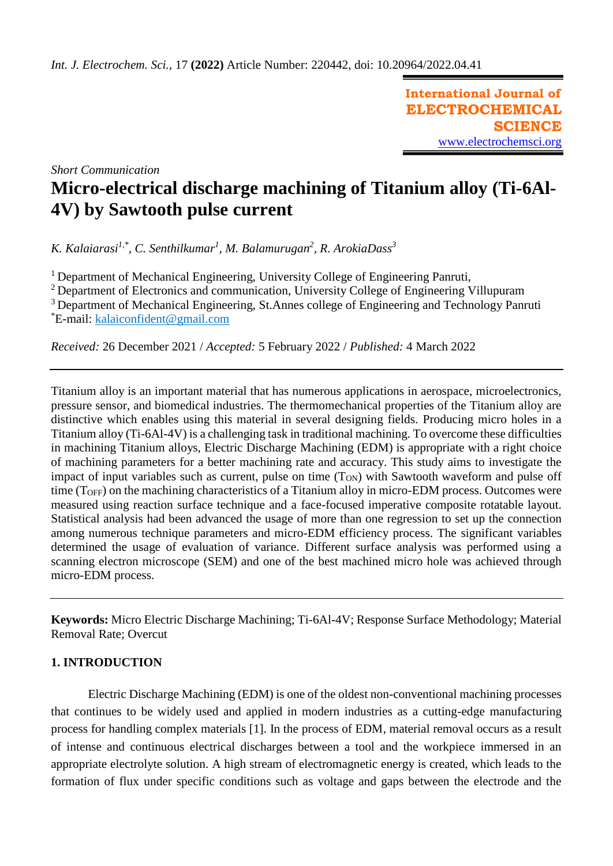**International Journal of ELECTROCHEMICAL SCIENCE** [www.electrochemsci.org](http://www.electrochemsci.org/)

*Short Communication*

# **Micro-electrical discharge machining of Titanium alloy (Ti-6Al-4V) by Sawtooth pulse current**

*K. Kalaiarasi1,\*, C. Senthilkumar<sup>1</sup> , M. Balamurugan<sup>2</sup> , R. ArokiaDass<sup>3</sup>*

 $1$  Department of Mechanical Engineering, University College of Engineering Panruti,

<sup>2</sup> Department of Electronics and communication, University College of Engineering Villupuram

<sup>3</sup> Department of Mechanical Engineering, St.Annes college of Engineering and Technology Panruti \*E-mail: kalaiconfident@gmail.com

*Received:* 26 December 2021 / *Accepted:* 5 February 2022 / *Published:* 4 March 2022

Titanium alloy is an important material that has numerous applications in aerospace, microelectronics, pressure sensor, and biomedical industries. The thermomechanical properties of the Titanium alloy are distinctive which enables using this material in several designing fields. Producing micro holes in a Titanium alloy (Ti-6Al-4V) is a challenging task in traditional machining. To overcome these difficulties in machining Titanium alloys, Electric Discharge Machining (EDM) is appropriate with a right choice of machining parameters for a better machining rate and accuracy. This study aims to investigate the impact of input variables such as current, pulse on time  $(T_{ON})$  with Sawtooth waveform and pulse off time (TOFF) on the machining characteristics of a Titanium alloy in micro-EDM process. Outcomes were measured using reaction surface technique and a face-focused imperative composite rotatable layout. Statistical analysis had been advanced the usage of more than one regression to set up the connection among numerous technique parameters and micro-EDM efficiency process. The significant variables determined the usage of evaluation of variance. Different surface analysis was performed using a scanning electron microscope (SEM) and one of the best machined micro hole was achieved through micro-EDM process.

**Keywords:** Micro Electric Discharge Machining; Ti-6Al-4V; Response Surface Methodology; Material Removal Rate; Overcut

# **1. INTRODUCTION**

Electric Discharge Machining (EDM) is one of the oldest non-conventional machining processes that continues to be widely used and applied in modern industries as a cutting-edge manufacturing process for handling complex materials [1]. In the process of EDM, material removal occurs as a result of intense and continuous electrical discharges between a tool and the workpiece immersed in an appropriate electrolyte solution. A high stream of electromagnetic energy is created, which leads to the formation of flux under specific conditions such as voltage and gaps between the electrode and the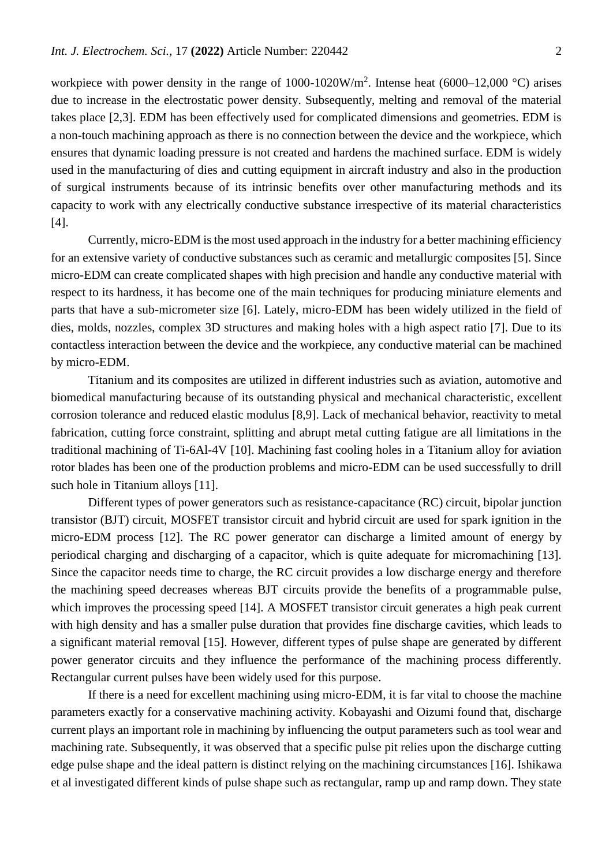workpiece with power density in the range of  $1000-1020W/m^2$ . Intense heat (6000–12,000 °C) arises due to increase in the electrostatic power density. Subsequently, melting and removal of the material takes place [2,3]. EDM has been effectively used for complicated dimensions and geometries. EDM is a non-touch machining approach as there is no connection between the device and the workpiece, which ensures that dynamic loading pressure is not created and hardens the machined surface. EDM is widely used in the manufacturing of dies and cutting equipment in aircraft industry and also in the production of surgical instruments because of its intrinsic benefits over other manufacturing methods and its capacity to work with any electrically conductive substance irrespective of its material characteristics [4].

Currently, micro-EDM is the most used approach in the industry for a better machining efficiency for an extensive variety of conductive substances such as ceramic and metallurgic composites [5]. Since micro-EDM can create complicated shapes with high precision and handle any conductive material with respect to its hardness, it has become one of the main techniques for producing miniature elements and parts that have a sub-micrometer size [6]. Lately, micro-EDM has been widely utilized in the field of dies, molds, nozzles, complex 3D structures and making holes with a high aspect ratio [7]. Due to its contactless interaction between the device and the workpiece, any conductive material can be machined by micro-EDM.

Titanium and its composites are utilized in different industries such as aviation, automotive and biomedical manufacturing because of its outstanding physical and mechanical characteristic, excellent corrosion tolerance and reduced elastic modulus [8,9]. Lack of mechanical behavior, reactivity to metal fabrication, cutting force constraint, splitting and abrupt metal cutting fatigue are all limitations in the traditional machining of Ti-6Al-4V [10]. Machining fast cooling holes in a Titanium alloy for aviation rotor blades has been one of the production problems and micro-EDM can be used successfully to drill such hole in Titanium alloys [11].

Different types of power generators such as resistance-capacitance (RC) circuit, bipolar junction transistor (BJT) circuit, MOSFET transistor circuit and hybrid circuit are used for spark ignition in the micro-EDM process [12]. The RC power generator can discharge a limited amount of energy by periodical charging and discharging of a capacitor, which is quite adequate for micromachining [13]. Since the capacitor needs time to charge, the RC circuit provides a low discharge energy and therefore the machining speed decreases whereas BJT circuits provide the benefits of a programmable pulse, which improves the processing speed [14]. A MOSFET transistor circuit generates a high peak current with high density and has a smaller pulse duration that provides fine discharge cavities, which leads to a significant material removal [15]. However, different types of pulse shape are generated by different power generator circuits and they influence the performance of the machining process differently. Rectangular current pulses have been widely used for this purpose.

If there is a need for excellent machining using micro-EDM, it is far vital to choose the machine parameters exactly for a conservative machining activity. Kobayashi and Oizumi found that, discharge current plays an important role in machining by influencing the output parameters such as tool wear and machining rate. Subsequently, it was observed that a specific pulse pit relies upon the discharge cutting edge pulse shape and the ideal pattern is distinct relying on the machining circumstances [16]. Ishikawa et al investigated different kinds of pulse shape such as rectangular, ramp up and ramp down. They state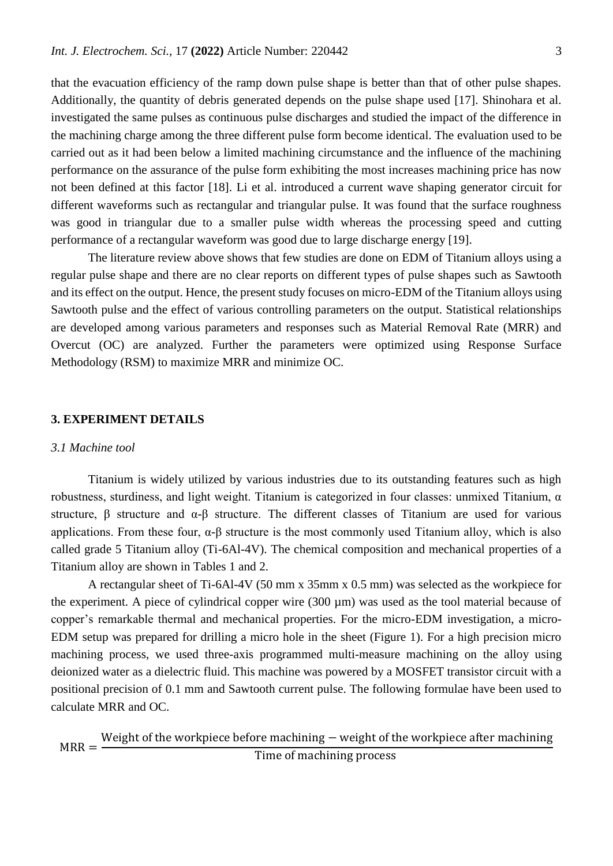that the evacuation efficiency of the ramp down pulse shape is better than that of other pulse shapes. Additionally, the quantity of debris generated depends on the pulse shape used [17]. Shinohara et al. investigated the same pulses as continuous pulse discharges and studied the impact of the difference in the machining charge among the three different pulse form become identical. The evaluation used to be carried out as it had been below a limited machining circumstance and the influence of the machining performance on the assurance of the pulse form exhibiting the most increases machining price has now not been defined at this factor [18]. Li et al. introduced a current wave shaping generator circuit for different waveforms such as rectangular and triangular pulse. It was found that the surface roughness was good in triangular due to a smaller pulse width whereas the processing speed and cutting performance of a rectangular waveform was good due to large discharge energy [19].

The literature review above shows that few studies are done on EDM of Titanium alloys using a regular pulse shape and there are no clear reports on different types of pulse shapes such as Sawtooth and its effect on the output. Hence, the present study focuses on micro-EDM of the Titanium alloys using Sawtooth pulse and the effect of various controlling parameters on the output. Statistical relationships are developed among various parameters and responses such as Material Removal Rate (MRR) and Overcut (OC) are analyzed. Further the parameters were optimized using Response Surface Methodology (RSM) to maximize MRR and minimize OC.

## **3. EXPERIMENT DETAILS**

## *3.1 Machine tool*

Titanium is widely utilized by various industries due to its outstanding features such as high robustness, sturdiness, and light weight. Titanium is categorized in four classes: unmixed Titanium, α structure, β structure and α-β structure. The different classes of Titanium are used for various applications. From these four,  $\alpha$ - $\beta$  structure is the most commonly used Titanium alloy, which is also called grade 5 Titanium alloy (Ti-6Al-4V). The chemical composition and mechanical properties of a Titanium alloy are shown in Tables 1 and 2.

A rectangular sheet of Ti-6Al-4V (50 mm x 35mm x 0.5 mm) was selected as the workpiece for the experiment. A piece of cylindrical copper wire (300 µm) was used as the tool material because of copper's remarkable thermal and mechanical properties. For the micro-EDM investigation, a micro-EDM setup was prepared for drilling a micro hole in the sheet (Figure 1). For a high precision micro machining process, we used three-axis programmed multi-measure machining on the alloy using deionized water as a dielectric fluid. This machine was powered by a MOSFET transistor circuit with a positional precision of 0.1 mm and Sawtooth current pulse. The following formulae have been used to calculate MRR and OC.

$$
MRR = \frac{Weight\ of\ the\ workpiece\ before\ machine - weight\ of\ the\ workpiece\ after\ machine}{Time\ of\ machine\ process}
$$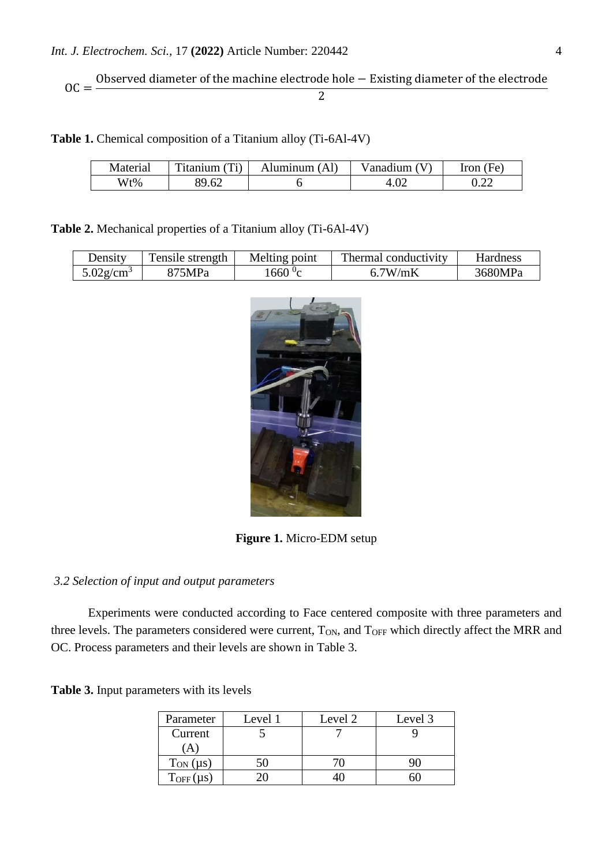$$
OC = \frac{Observed diameter of the machine electrode hole - Existing diameter of the electrode}{2}
$$

**Table 1.** Chemical composition of a Titanium alloy (Ti-6Al-4V)

| Material | $\mathbf{r}$<br>itanium | Aluminum<br>Άl | √anadıum    | (Fe<br>Iron  |
|----------|-------------------------|----------------|-------------|--------------|
| Wt%      | 80.62 $\sigma$<br>∪∠    |                | $4.0\angle$ | 0. <i>44</i> |

**Table 2.** Mechanical properties of a Titanium alloy (Ti-6Al-4V)

| Density                  | Tensile strength | Melting point   | Thermal conductivity | Hardness |
|--------------------------|------------------|-----------------|----------------------|----------|
| $5.02$ g/cm <sup>3</sup> | 875MPa           | .660 $\rm{^0c}$ | 6.7W/mK              | 3680MPa  |

**Figure 1.** Micro-EDM setup

# *3.2 Selection of input and output parameters*

Experiments were conducted according to Face centered composite with three parameters and three levels. The parameters considered were current, T<sub>ON</sub>, and T<sub>OFF</sub> which directly affect the MRR and OC. Process parameters and their levels are shown in Table 3.

|  |  | <b>Table 3.</b> Input parameters with its levels |  |  |  |
|--|--|--------------------------------------------------|--|--|--|
|--|--|--------------------------------------------------|--|--|--|

| Parameter        | Level 1 | Level 2 | Level 3 |
|------------------|---------|---------|---------|
| Current          |         |         |         |
| A                |         |         |         |
| $T_{ON}(\mu s)$  |         |         |         |
| $T_{OFF}(\mu s)$ |         |         |         |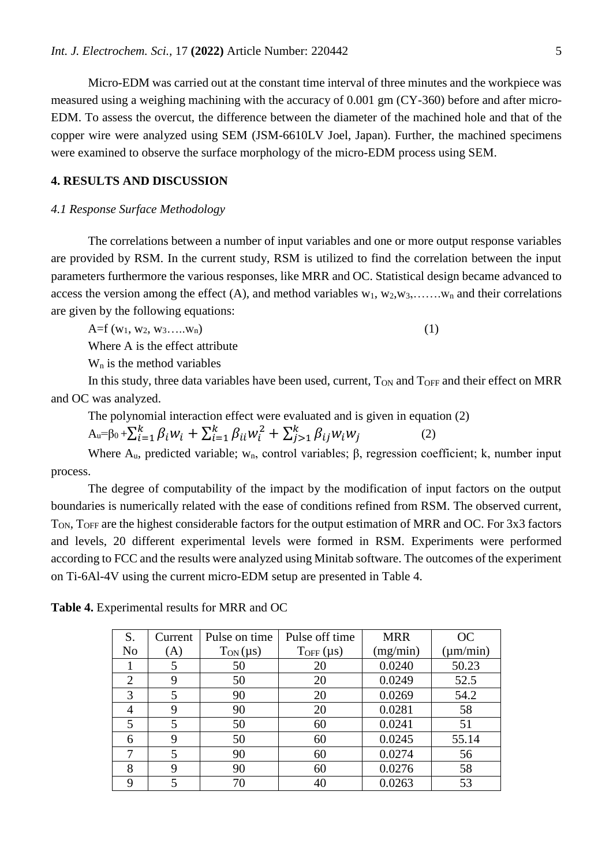Micro-EDM was carried out at the constant time interval of three minutes and the workpiece was measured using a weighing machining with the accuracy of 0.001 gm (CY-360) before and after micro-EDM. To assess the overcut, the difference between the diameter of the machined hole and that of the copper wire were analyzed using SEM (JSM-6610LV Joel, Japan). Further, the machined specimens were examined to observe the surface morphology of the micro-EDM process using SEM.

# **4. RESULTS AND DISCUSSION**

## *4.1 Response Surface Methodology*

The correlations between a number of input variables and one or more output response variables are provided by RSM. In the current study, RSM is utilized to find the correlation between the input parameters furthermore the various responses, like MRR and OC. Statistical design became advanced to access the version among the effect (A), and method variables  $w_1, w_2, w_3, \ldots, w_n$  and their correlations are given by the following equations:

 $A=f(w_1, w_2, w_3, \ldots, w_n)$  (1)

Where A is the effect attribute

 $W_n$  is the method variables

In this study, three data variables have been used, current,  $T_{ON}$  and  $T_{OFF}$  and their effect on MRR and OC was analyzed.

The polynomial interaction effect were evaluated and is given in equation (2)

 $A_u = \beta_0 + \sum_{i=1}^k \beta_i w_i + \sum_{i=1}^k \beta_{ii} w_i^2 + \sum_{j>1}^k \beta_{ij} w_i w_j$ >1 ķ  $i=1$ (2)

Where  $A_u$ , predicted variable; w<sub>n</sub>, control variables;  $\beta$ , regression coefficient; k, number input process.

The degree of computability of the impact by the modification of input factors on the output boundaries is numerically related with the ease of conditions refined from RSM. The observed current, TON, TOFF are the highest considerable factors for the output estimation of MRR and OC. For 3x3 factors and levels, 20 different experimental levels were formed in RSM. Experiments were performed according to FCC and the results were analyzed using Minitab software. The outcomes of the experiment on Ti-6Al-4V using the current micro-EDM setup are presented in Table 4.

| S.             | Current | Pulse on time   | Pulse off time   | <b>MRR</b> | OC            |
|----------------|---------|-----------------|------------------|------------|---------------|
| N <sub>o</sub> | (A)     | $T_{ON}(\mu s)$ | $T_{OFF}(\mu s)$ | (mg/min)   | $(\mu m/min)$ |
|                | 5       | 50              | 20               | 0.0240     | 50.23         |
| $\overline{2}$ | 9       | 50              | 20               | 0.0249     | 52.5          |
| 3              | 5       | 90              | 20               | 0.0269     | 54.2          |
|                | 9       | 90              | 20               | 0.0281     | 58            |
| 5              | 5       | 50              | 60               | 0.0241     | 51            |
| 6              | 9       | 50              | 60               | 0.0245     | 55.14         |
|                | 5       | 90              | 60               | 0.0274     | 56            |
| 8              | 9       | 90              | 60               | 0.0276     | 58            |
| 9              | 5       | 70              | 40               | 0.0263     | 53            |

**Table 4.** Experimental results for MRR and OC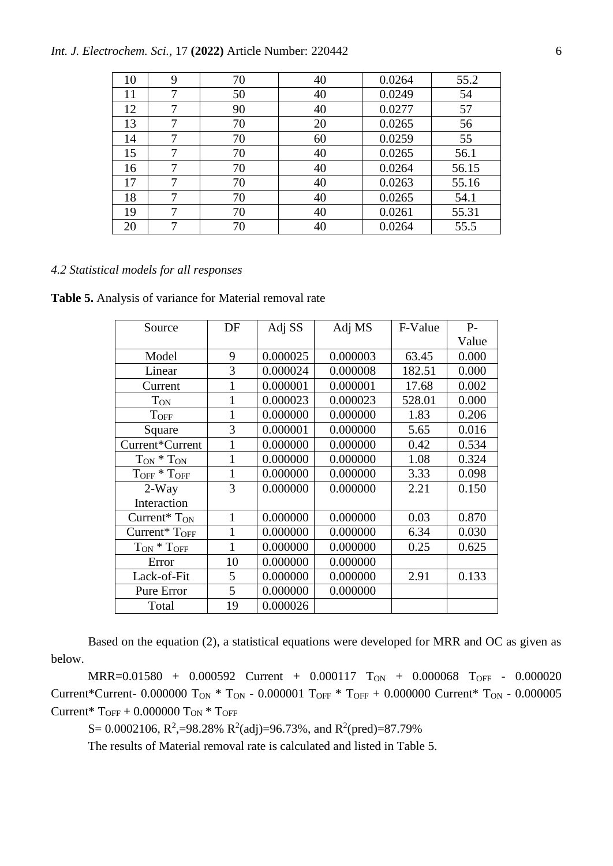## *Int. J. Electrochem. Sci.,* 17 **(2022)** Article Number: 220442 6

| 10 | 9 | 70 | 40 | 0.0264 | 55.2  |
|----|---|----|----|--------|-------|
| 11 | 7 | 50 | 40 | 0.0249 | 54    |
| 12 | 7 | 90 | 40 | 0.0277 | 57    |
| 13 | 7 | 70 | 20 | 0.0265 | 56    |
| 14 | 7 | 70 | 60 | 0.0259 | 55    |
| 15 | 7 | 70 | 40 | 0.0265 | 56.1  |
| 16 | 7 | 70 | 40 | 0.0264 | 56.15 |
| 17 | 7 | 70 | 40 | 0.0263 | 55.16 |
| 18 | 7 | 70 | 40 | 0.0265 | 54.1  |
| 19 | 7 | 70 | 40 | 0.0261 | 55.31 |
| 20 | 7 | 70 | 40 | 0.0264 | 55.5  |

### *4.2 Statistical models for all responses*

**Table 5.** Analysis of variance for Material removal rate

| Source                        | DF           | Adj SS   | Adj MS   | F-Value | $P-$  |
|-------------------------------|--------------|----------|----------|---------|-------|
|                               |              |          |          |         | Value |
| Model                         | 9            | 0.000025 | 0.000003 | 63.45   | 0.000 |
| Linear                        | 3            | 0.000024 | 0.000008 | 182.51  | 0.000 |
| Current                       | 1            | 0.000001 | 0.000001 | 17.68   | 0.002 |
| <b>T</b> <sub>ON</sub>        | 1            | 0.000023 | 0.000023 | 528.01  | 0.000 |
| <b>TOFF</b>                   | 1            | 0.000000 | 0.000000 | 1.83    | 0.206 |
| Square                        | 3            | 0.000001 | 0.000000 | 5.65    | 0.016 |
| Current*Current               | 1            | 0.000000 | 0.000000 | 0.42    | 0.534 |
| $T_{ON} * T_{ON}$             | 1            | 0.000000 | 0.000000 | 1.08    | 0.324 |
| $T_{OFF}$ * $T_{OFF}$         | 1            | 0.000000 | 0.000000 | 3.33    | 0.098 |
| $2-Way$                       | 3            | 0.000000 | 0.000000 | 2.21    | 0.150 |
| Interaction                   |              |          |          |         |       |
| Current <sup>*</sup> $T_{ON}$ | $\mathbf{1}$ | 0.000000 | 0.000000 | 0.03    | 0.870 |
| Current* $T_{OFF}$            | 1            | 0.000000 | 0.000000 | 6.34    | 0.030 |
| $T_{ON} * T_{OFF}$            | 1            | 0.000000 | 0.000000 | 0.25    | 0.625 |
| Error                         | 10           | 0.000000 | 0.000000 |         |       |
| Lack-of-Fit                   | 5            | 0.000000 | 0.000000 | 2.91    | 0.133 |
| Pure Error                    | 5            | 0.000000 | 0.000000 |         |       |
| Total                         | 19           | 0.000026 |          |         |       |

Based on the equation (2), a statistical equations were developed for MRR and OC as given as below.

MRR=0.01580 + 0.000592 Current + 0.000117 TON + 0.000068 TOFF - 0.000020 Current\*Current- 0.000000 T<sub>ON</sub> \* T<sub>ON</sub> - 0.000001 T<sub>OFF</sub> \* T<sub>OFF</sub> + 0.000000 Current\* T<sub>ON</sub> - 0.000005 Current\*  $T_{OFF}$  + 0.000000  $T_{ON}$  \*  $T_{OFF}$ 

S = 0.0002106, R<sup>2</sup>, =98.28% R<sup>2</sup>(adj) =96.73%, and R<sup>2</sup>(pred) = 87.79%

The results of Material removal rate is calculated and listed in Table 5.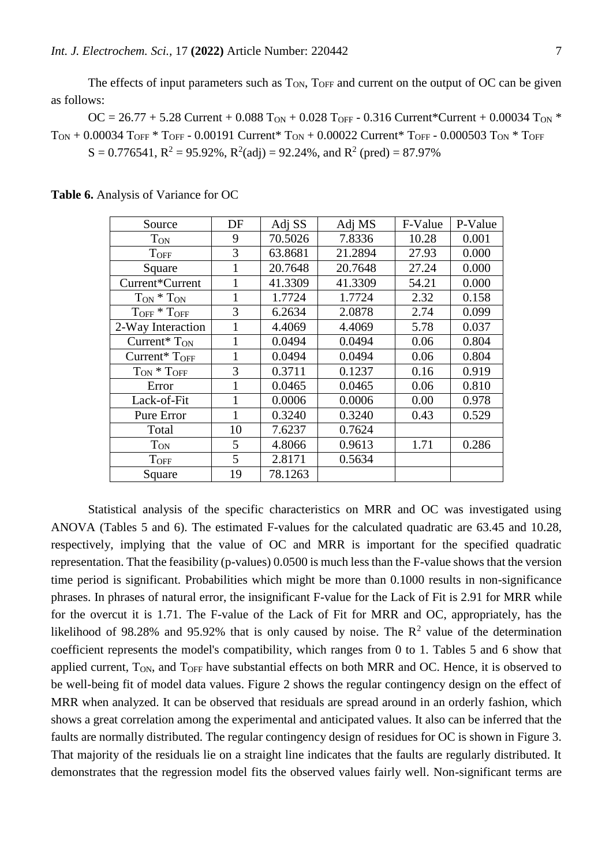The effects of input parameters such as  $T_{ON}$ ,  $T_{OFF}$  and current on the output of OC can be given as follows:

OC = 26.77 + 5.28 Current + 0.088 T<sub>ON</sub> + 0.028 T<sub>OFF</sub> - 0.316 Current\*Current + 0.00034 T<sub>ON</sub> \*  $T_{\text{ON}} + 0.00034$  T<sub>OFF</sub> \* T<sub>OFF</sub> - 0.00191 Current \* T<sub>ON</sub> + 0.00022 Current \* T<sub>OFF</sub> - 0.000503 T<sub>ON</sub> \* T<sub>OFF</sub>  $S = 0.776541$ ,  $R^2 = 95.92\%$ ,  $R^2$ (adj) = 92.24%, and  $R^2$  (pred) = 87.97%

| Source                        | DF | Adj SS  | Adj MS  | F-Value | P-Value |
|-------------------------------|----|---------|---------|---------|---------|
| <b>T</b> <sub>ON</sub>        | 9  | 70.5026 | 7.8336  | 10.28   | 0.001   |
| <b>TOFF</b>                   | 3  | 63.8681 | 21.2894 | 27.93   | 0.000   |
| Square                        |    | 20.7648 | 20.7648 | 27.24   | 0.000   |
| Current*Current               | 1  | 41.3309 | 41.3309 | 54.21   | 0.000   |
| $T_{ON} * T_{ON}$             | 1  | 1.7724  | 1.7724  | 2.32    | 0.158   |
| $T_{\rm OFF} * T_{\rm OFF}$   | 3  | 6.2634  | 2.0878  | 2.74    | 0.099   |
| 2-Way Interaction             | 1  | 4.4069  | 4.4069  | 5.78    | 0.037   |
| Current <sup>*</sup> $T_{ON}$ |    | 0.0494  | 0.0494  | 0.06    | 0.804   |
| Current* $T_{OFF}$            |    | 0.0494  | 0.0494  | 0.06    | 0.804   |
| $T_{ON} * T_{OFF}$            | 3  | 0.3711  | 0.1237  | 0.16    | 0.919   |
| Error                         | 1  | 0.0465  | 0.0465  | 0.06    | 0.810   |
| Lack-of-Fit                   |    | 0.0006  | 0.0006  | 0.00    | 0.978   |
| Pure Error                    | 1  | 0.3240  | 0.3240  | 0.43    | 0.529   |
| Total                         | 10 | 7.6237  | 0.7624  |         |         |
| <b>TON</b>                    | 5  | 4.8066  | 0.9613  | 1.71    | 0.286   |
| <b>TOFF</b>                   | 5  | 2.8171  | 0.5634  |         |         |
| Square                        | 19 | 78.1263 |         |         |         |

**Table 6.** Analysis of Variance for OC

Statistical analysis of the specific characteristics on MRR and OC was investigated using ANOVA (Tables 5 and 6). The estimated F-values for the calculated quadratic are 63.45 and 10.28, respectively, implying that the value of OC and MRR is important for the specified quadratic representation. That the feasibility (p-values) 0.0500 is much less than the F-value shows that the version time period is significant. Probabilities which might be more than 0.1000 results in non-significance phrases. In phrases of natural error, the insignificant F-value for the Lack of Fit is 2.91 for MRR while for the overcut it is 1.71. The F-value of the Lack of Fit for MRR and OC, appropriately, has the likelihood of 98.28% and 95.92% that is only caused by noise. The  $\mathbb{R}^2$  value of the determination coefficient represents the model's compatibility, which ranges from 0 to 1. Tables 5 and 6 show that applied current,  $T_{ON}$ , and  $T_{OFF}$  have substantial effects on both MRR and OC. Hence, it is observed to be well-being fit of model data values. Figure 2 shows the regular contingency design on the effect of MRR when analyzed. It can be observed that residuals are spread around in an orderly fashion, which shows a great correlation among the experimental and anticipated values. It also can be inferred that the faults are normally distributed. The regular contingency design of residues for OC is shown in Figure 3. That majority of the residuals lie on a straight line indicates that the faults are regularly distributed. It demonstrates that the regression model fits the observed values fairly well. Non-significant terms are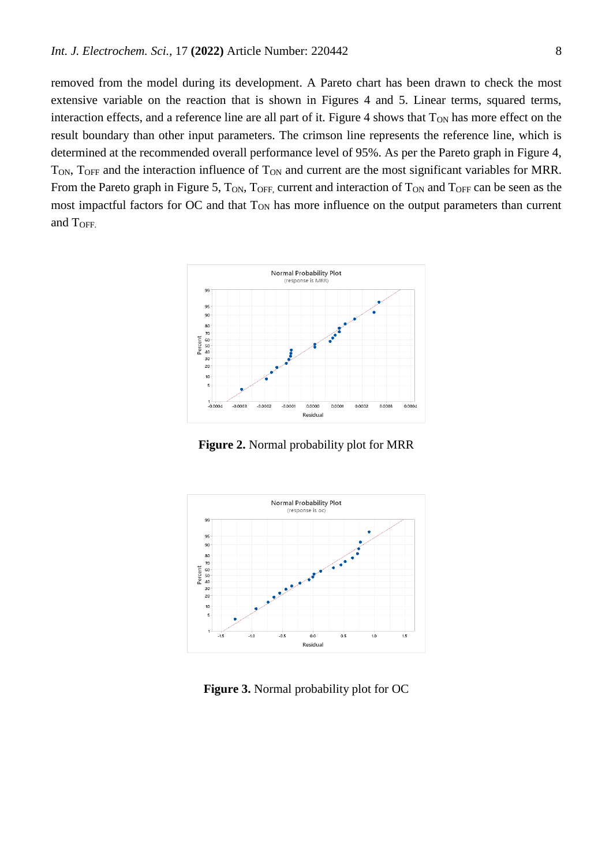removed from the model during its development. A Pareto chart has been drawn to check the most extensive variable on the reaction that is shown in Figures 4 and 5. Linear terms, squared terms, interaction effects, and a reference line are all part of it. Figure 4 shows that  $T_{ON}$  has more effect on the result boundary than other input parameters. The crimson line represents the reference line, which is determined at the recommended overall performance level of 95%. As per the Pareto graph in Figure 4,  $T_{ON}$ ,  $T_{OFF}$  and the interaction influence of  $T_{ON}$  and current are the most significant variables for MRR. From the Pareto graph in Figure 5, T<sub>ON</sub>, T<sub>OFF</sub>, current and interaction of T<sub>ON</sub> and T<sub>OFF</sub> can be seen as the most impactful factors for OC and that T<sub>ON</sub> has more influence on the output parameters than current and TOFF.



**Figure 2.** Normal probability plot for MRR



**Figure 3.** Normal probability plot for OC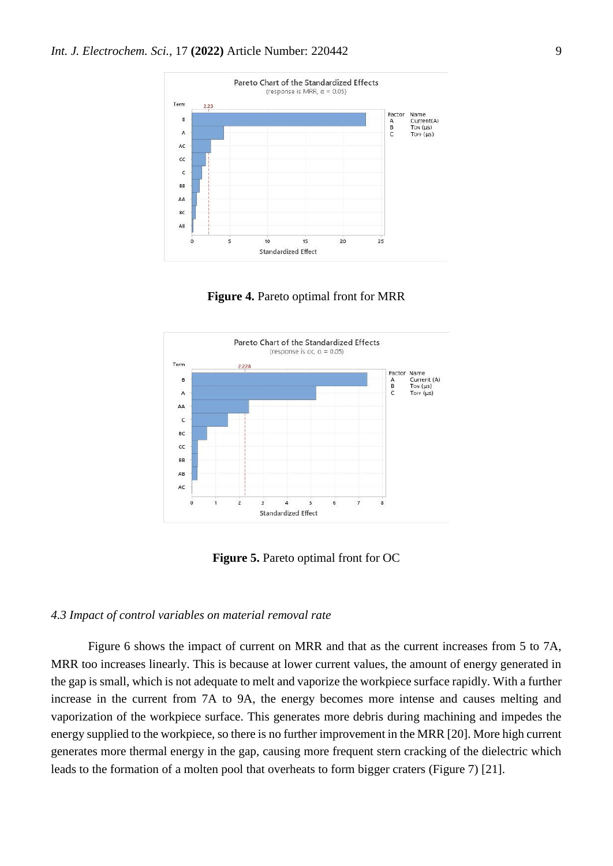

**Figure 4.** Pareto optimal front for MRR



**Figure 5.** Pareto optimal front for OC

### *4.3 Impact of control variables on material removal rate*

Figure 6 shows the impact of current on MRR and that as the current increases from 5 to 7A, MRR too increases linearly. This is because at lower current values, the amount of energy generated in the gap is small, which is not adequate to melt and vaporize the workpiece surface rapidly. With a further increase in the current from 7A to 9A, the energy becomes more intense and causes melting and vaporization of the workpiece surface. This generates more debris during machining and impedes the energy supplied to the workpiece, so there is no further improvement in the MRR [20]. More high current generates more thermal energy in the gap, causing more frequent stern cracking of the dielectric which leads to the formation of a molten pool that overheats to form bigger craters (Figure 7) [21].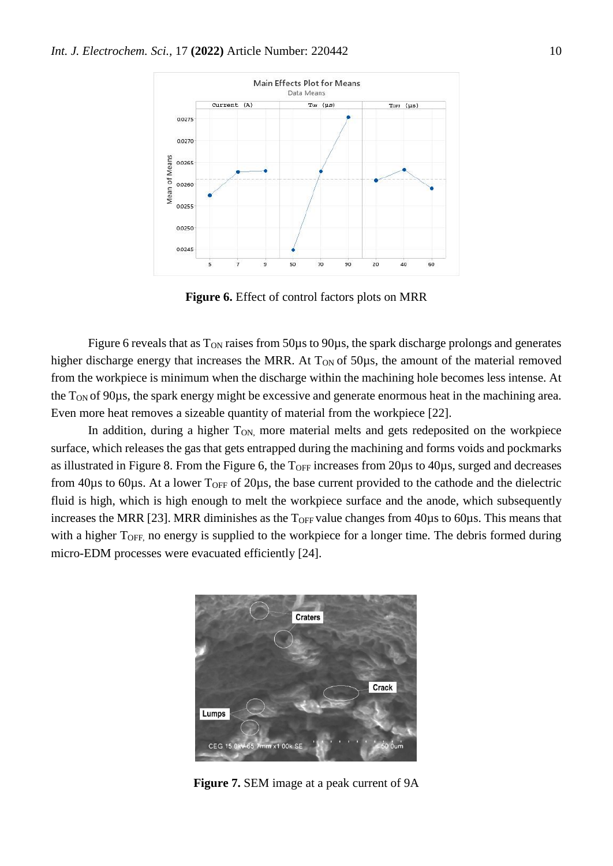

**Figure 6.** Effect of control factors plots on MRR

Figure 6 reveals that as  $T_{ON}$  raises from 50 $\mu$ s to 90 $\mu$ s, the spark discharge prolongs and generates higher discharge energy that increases the MRR. At  $T_{ON}$  of 50 $\mu$ s, the amount of the material removed from the workpiece is minimum when the discharge within the machining hole becomes less intense. At the T<sub>ON</sub> of 90µs, the spark energy might be excessive and generate enormous heat in the machining area. Even more heat removes a sizeable quantity of material from the workpiece [22].

In addition, during a higher T<sub>ON</sub>, more material melts and gets redeposited on the workpiece surface, which releases the gas that gets entrapped during the machining and forms voids and pockmarks as illustrated in Figure 8. From the Figure 6, the  $T<sub>OFF</sub>$  increases from 20 $\mu$ s to 40 $\mu$ s, surged and decreases from 40 $\mu$ s to 60 $\mu$ s. At a lower T<sub>OFF</sub> of 20 $\mu$ s, the base current provided to the cathode and the dielectric fluid is high, which is high enough to melt the workpiece surface and the anode, which subsequently increases the MRR [23]. MRR diminishes as the  $T<sub>OFF</sub>$  value changes from 40 $\mu$ s to 60 $\mu$ s. This means that with a higher T<sub>OFF</sub>, no energy is supplied to the workpiece for a longer time. The debris formed during micro-EDM processes were evacuated efficiently [24].



**Figure 7.** SEM image at a peak current of 9A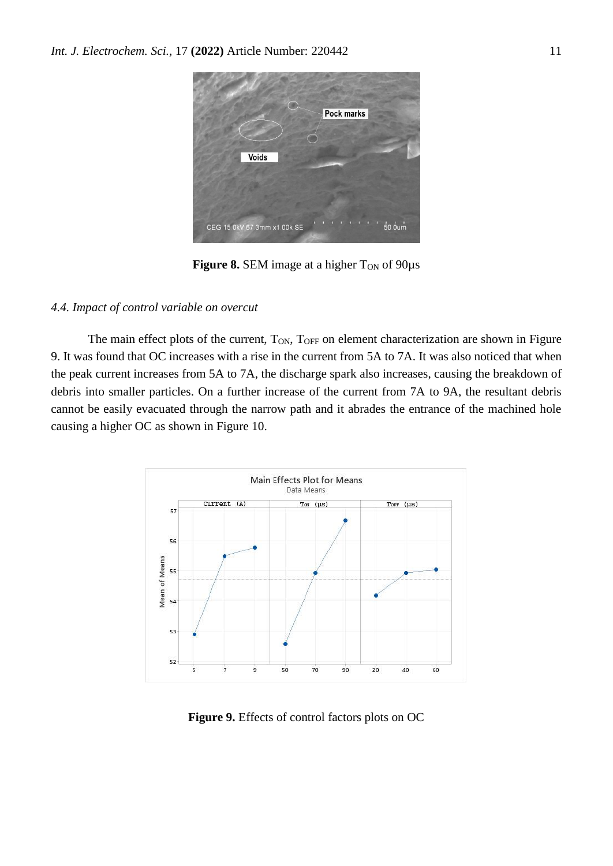

**Figure 8.** SEM image at a higher T<sub>ON</sub> of 90 $\mu$ s

### *4.4. Impact of control variable on overcut*

The main effect plots of the current, T<sub>ON</sub>, T<sub>OFF</sub> on element characterization are shown in Figure 9. It was found that OC increases with a rise in the current from 5A to 7A. It was also noticed that when the peak current increases from 5A to 7A, the discharge spark also increases, causing the breakdown of debris into smaller particles. On a further increase of the current from 7A to 9A, the resultant debris cannot be easily evacuated through the narrow path and it abrades the entrance of the machined hole causing a higher OC as shown in Figure 10.



**Figure 9.** Effects of control factors plots on OC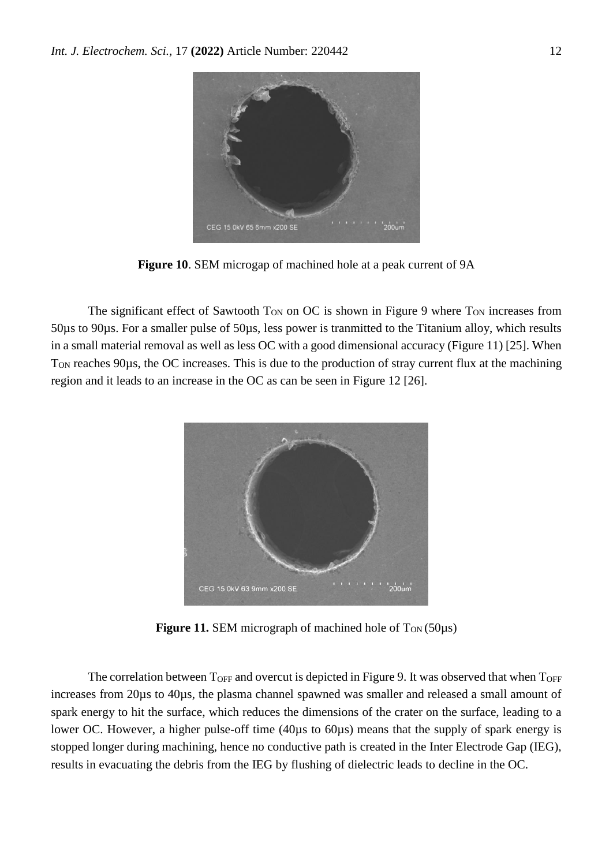

**Figure 10**. SEM microgap of machined hole at a peak current of 9A

The significant effect of Sawtooth  $T_{ON}$  on OC is shown in Figure 9 where  $T_{ON}$  increases from 50µs to 90µs. For a smaller pulse of 50µs, less power is tranmitted to the Titanium alloy, which results in a small material removal as well as less OC with a good dimensional accuracy (Figure 11) [25]. When T<sub>ON</sub> reaches 90µs, the OC increases. This is due to the production of stray current flux at the machining region and it leads to an increase in the OC as can be seen in Figure 12 [26].



**Figure 11.** SEM micrograph of machined hole of  $T_{ON}(50\mu s)$ 

The correlation between  $T_{\text{OFF}}$  and overcut is depicted in Figure 9. It was observed that when  $T_{\text{OFF}}$ increases from 20µs to 40µs, the plasma channel spawned was smaller and released a small amount of spark energy to hit the surface, which reduces the dimensions of the crater on the surface, leading to a lower OC. However, a higher pulse-off time (40µs to 60µs) means that the supply of spark energy is stopped longer during machining, hence no conductive path is created in the Inter Electrode Gap (IEG), results in evacuating the debris from the IEG by flushing of dielectric leads to decline in the OC.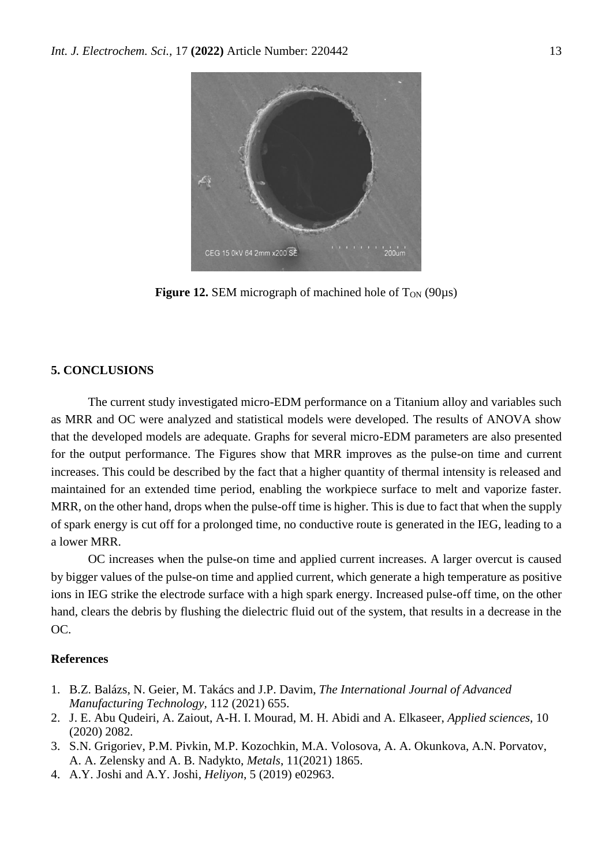

**Figure 12.** SEM micrograph of machined hole of  $T_{ON}$  (90 $\mu$ s)

# **5. CONCLUSIONS**

The current study investigated micro-EDM performance on a Titanium alloy and variables such as MRR and OC were analyzed and statistical models were developed. The results of ANOVA show that the developed models are adequate. Graphs for several micro-EDM parameters are also presented for the output performance. The Figures show that MRR improves as the pulse-on time and current increases. This could be described by the fact that a higher quantity of thermal intensity is released and maintained for an extended time period, enabling the workpiece surface to melt and vaporize faster. MRR, on the other hand, drops when the pulse-off time is higher. This is due to fact that when the supply of spark energy is cut off for a prolonged time, no conductive route is generated in the IEG, leading to a a lower MRR.

OC increases when the pulse-on time and applied current increases. A larger overcut is caused by bigger values of the pulse-on time and applied current, which generate a high temperature as positive ions in IEG strike the electrode surface with a high spark energy. Increased pulse-off time, on the other hand, clears the debris by flushing the dielectric fluid out of the system, that results in a decrease in the OC.

# **References**

- 1. B.Z. [Balázs,](https://link.springer.com/article/10.1007/s00170-020-06445-w#auth-Barnab_s_Zolt_n-Bal_zs) N. [Geier,](https://link.springer.com/article/10.1007/s00170-020-06445-w#auth-Norbert-Geier) M. [Takács](https://link.springer.com/article/10.1007/s00170-020-06445-w#auth-M_rton-Tak_cs) and J.P. [Davim,](https://link.springer.com/article/10.1007/s00170-020-06445-w#auth-J__Paulo-Davim) *The International Journal of Advanced Manufacturing Technology,* 112 (2021) 655.
- 2. [J. E. Abu Qudeiri,](https://sciprofiles.com/profile/635715) [A. Zaiout,](https://sciprofiles.com/profile/299484) A-H. [I. Mourad,](https://sciprofiles.com/profile/192661) [M. H.](https://sciprofiles.com/profile/154332) Abidi and A. [Elkaseer,](https://sciprofiles.com/profile/445223) *Applied sciences,* 10 (2020) 2082.
- 3. S.N. Grigoriev, P.M. Pivkin, M.P. Kozochkin, M.A. Volosova, A. A. Okunkova, A.N. Porvatov, A. A. Zelensky and A. B. Nadykto, *Metals*, 11(2021) 1865.
- 4. A.Y. Joshi and A.Y. Joshi, *Heliyon*, [5 \(20](https://www.sciencedirect.com/science/journal/24058440/5/12)19) e02963.